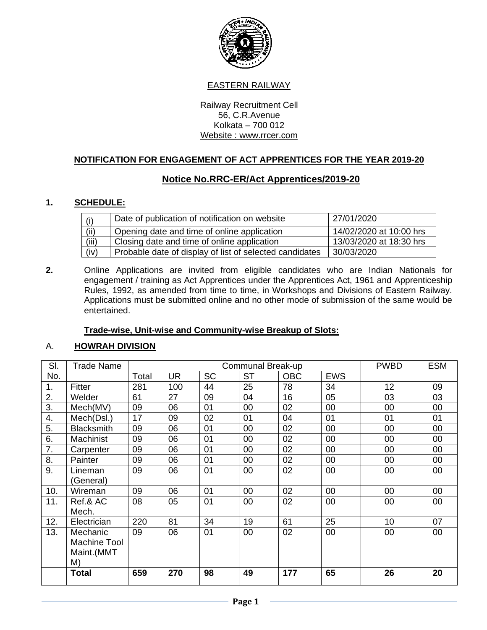

### EASTERN RAILWAY

Railway Recruitment Cell 56, C.R.Avenue Kolkata – 700 012 Website : www.rrcer.com

### **NOTIFICATION FOR ENGAGEMENT OF ACT APPRENTICES FOR THE YEAR 2019-20**

# **Notice No.RRC-ER/Act Apprentices/2019-20**

### **1. SCHEDULE:**

| (i)   | Date of publication of notification on website          | 27/01/2020              |
|-------|---------------------------------------------------------|-------------------------|
| (ii)  | Opening date and time of online application             | 14/02/2020 at 10:00 hrs |
| (iii) | Closing date and time of online application             | 13/03/2020 at 18:30 hrs |
| (iv)  | Probable date of display of list of selected candidates | 30/03/2020              |

**2.** Online Applications are invited from eligible candidates who are Indian Nationals for engagement / training as Act Apprentices under the Apprentices Act, 1961 and Apprenticeship Rules, 1992, as amended from time to time, in Workshops and Divisions of Eastern Railway. Applications must be submitted online and no other mode of submission of the same would be entertained.

### **Trade-wise, Unit-wise and Community-wise Breakup of Slots:**

### A. **HOWRAH DIVISION**

| SI. | Trade Name        |       |           |           | Communal Break-up |            |            | <b>PWBD</b> | <b>ESM</b> |
|-----|-------------------|-------|-----------|-----------|-------------------|------------|------------|-------------|------------|
| No. |                   | Total | <b>UR</b> | <b>SC</b> | <b>ST</b>         | <b>OBC</b> | <b>EWS</b> |             |            |
| 1.  | Fitter            | 281   | 100       | 44        | 25                | 78         | 34         | 12          | 09         |
| 2.  | Welder            | 61    | 27        | 09        | 04                | 16         | 05         | 03          | 03         |
| 3.  | Mech(MV)          | 09    | 06        | 01        | 00                | 02         | 00         | 00          | 00         |
| 4.  | Mech(Dsl.)        | 17    | 09        | 02        | 01                | 04         | 01         | 01          | 01         |
| 5.  | <b>Blacksmith</b> | 09    | 06        | 01        | 00                | 02         | 00         | 00          | 00         |
| 6.  | Machinist         | 09    | 06        | 01        | 00                | 02         | 00         | 00          | 00         |
| 7.  | Carpenter         | 09    | 06        | 01        | 00                | 02         | 00         | 00          | 00         |
| 8.  | Painter           | 09    | 06        | 01        | 00                | 02         | 00         | 00          | 00         |
| 9.  | Lineman           | 09    | 06        | 01        | 00                | 02         | 00         | 00          | 00         |
|     | (General)         |       |           |           |                   |            |            |             |            |
| 10. | Wireman           | 09    | 06        | 01        | 00                | 02         | 00         | 00          | 00         |
| 11. | Ref.& AC          | 08    | 05        | 01        | 00                | 02         | 00         | 00          | 00         |
|     | Mech.             |       |           |           |                   |            |            |             |            |
| 12. | Electrician       | 220   | 81        | 34        | 19                | 61         | 25         | 10          | 07         |
| 13. | Mechanic          | 09    | 06        | 01        | 00                | 02         | 00         | 00          | 00         |
|     | Machine Tool      |       |           |           |                   |            |            |             |            |
|     | Maint.(MMT        |       |           |           |                   |            |            |             |            |
|     | M)                |       |           |           |                   |            |            |             |            |
|     | <b>Total</b>      | 659   | 270       | 98        | 49                | 177        | 65         | 26          | 20         |
|     |                   |       |           |           |                   |            |            |             |            |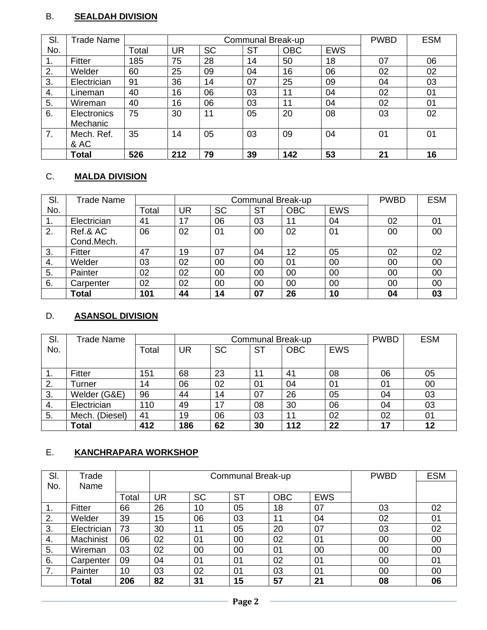# B. **SEALDAH DIVISION**

| SI.            | Trade Name   |       |           | Communal Break-up |           | <b>PWBD</b> | <b>ESM</b> |    |    |
|----------------|--------------|-------|-----------|-------------------|-----------|-------------|------------|----|----|
| No.            |              | Total | <b>UR</b> | <b>SC</b>         | <b>ST</b> | <b>OBC</b>  | <b>EWS</b> |    |    |
| $\mathbf{1}$ . | Fitter       | 185   | 75        | 28                | 14        | 50          | 18         | 07 | 06 |
| 2.             | Welder       | 60    | 25        | 09                | 04        | 16          | 06         | 02 | 02 |
| 3.             | Electrician  | 91    | 36        | 14                | 07        | 25          | 09         | 04 | 03 |
| 4.             | Lineman      | 40    | 16        | 06                | 03        | 11          | 04         | 02 | 01 |
| 5.             | Wireman      | 40    | 16        | 06                | 03        | 11          | 04         | 02 | 01 |
| 6.             | Electronics  | 75    | 30        | 11                | 05        | 20          | 08         | 03 | 02 |
|                | Mechanic     |       |           |                   |           |             |            |    |    |
| 7.             | Mech. Ref.   | 35    | 14        | 05                | 03        | 09          | 04         | 01 | 01 |
|                | & AC         |       |           |                   |           |             |            |    |    |
|                | <b>Total</b> | 526   | 212       | 79                | 39        | 142         | 53         | 21 | 16 |

# C. **MALDA DIVISION**

| SI. | Trade Name   |       |    |           | <b>PWBD</b> | <b>ESM</b> |            |    |    |
|-----|--------------|-------|----|-----------|-------------|------------|------------|----|----|
| No. |              | Total | UR | <b>SC</b> | <b>ST</b>   | <b>OBC</b> | <b>EWS</b> |    |    |
|     | Electrician  | 41    | 17 | 06        | 03          | 11         | 04         | 02 | 01 |
| 2.  | Ref.& AC     | 06    | 02 | 01        | 00          | 02         | 01         | 00 | 00 |
|     | Cond.Mech.   |       |    |           |             |            |            |    |    |
| 3.  | Fitter       | 47    | 19 | 07        | 04          | 12         | 05         | 02 | 02 |
| 4.  | Welder       | 03    | 02 | 00        | 00          | 01         | 00         | 00 | 00 |
| 5.  | Painter      | 02    | 02 | 00        | 00          | 00         | 00         | 00 | 00 |
| 6.  | Carpenter    | 02    | 02 | 00        | 00          | 00         | 00         | 00 | 00 |
|     | <b>Total</b> | 101   | 44 | 14        | 07          | 26         | 10         | 04 | 03 |

# D. **ASANSOL DIVISION**

| SI. | Trade Name     |       |           | Communal Break-up |           | <b>PWBD</b> | <b>ESM</b> |    |        |
|-----|----------------|-------|-----------|-------------------|-----------|-------------|------------|----|--------|
| No. |                | Total | <b>UR</b> | <b>SC</b>         | <b>ST</b> | <b>OBC</b>  | <b>EWS</b> |    |        |
|     |                |       |           |                   |           |             |            |    |        |
| 1.  | Fitter         | 151   | 68        | 23                | 11        | 41          | 08         | 06 | 05     |
| 2.  | Turner         | 14    | 06        | 02                | 01        | 04          | 01         | 01 | $00\,$ |
| 3.  | Welder (G&E)   | 96    | 44        | 14                | 07        | 26          | 05         | 04 | 03     |
| 4.  | Electrician    | 110   | 49        | 17                | 08        | 30          | 06         | 04 | 03     |
| 5.  | Mech. (Diesel) | 41    | 19        | 06                | 03        | 11          | 02         | 02 | 01     |
|     | <b>Total</b>   | 412   | 186       | 62                | 30        | 112         | 22         | 17 | 12     |

# E. **KANCHRAPARA WORKSHOP**

| SI.              | Trade         |       |           |           | Communal Break-up |            | <b>PWBD</b> | <b>ESM</b> |    |
|------------------|---------------|-------|-----------|-----------|-------------------|------------|-------------|------------|----|
| No.              | Name          |       |           |           |                   |            |             |            |    |
|                  |               | Total | <b>UR</b> | <b>SC</b> | <b>ST</b>         | <b>OBC</b> | <b>EWS</b>  |            |    |
| $\overline{1}$ . | <b>Fitter</b> | 66    | 26        | 10        | 05                | 18         | 07          | 03         | 02 |
| 2.               | Welder        | 39    | 15        | 06        | 03                | 11         | 04          | 02         | 01 |
| 3.               | Electrician   | 73    | 30        | 11        | 05                | 20         | 07          | 03         | 02 |
| 4.               | Machinist     | 06    | 02        | 01        | 00                | 02         | 01          | 00         | 00 |
| 5.               | Wireman       | 03    | 02        | 00        | 00                | 01         | 00          | 00         | 00 |
| 6.               | Carpenter     | 09    | 04        | 01        | 01                | 02         | 01          | 00         | 01 |
|                  | Painter       | 10    | 03        | 02        | 01                | 03         | 01          | 00         | 00 |
|                  | Total         | 206   | 82        | 31        | 15                | 57         | 21          | 08         | 06 |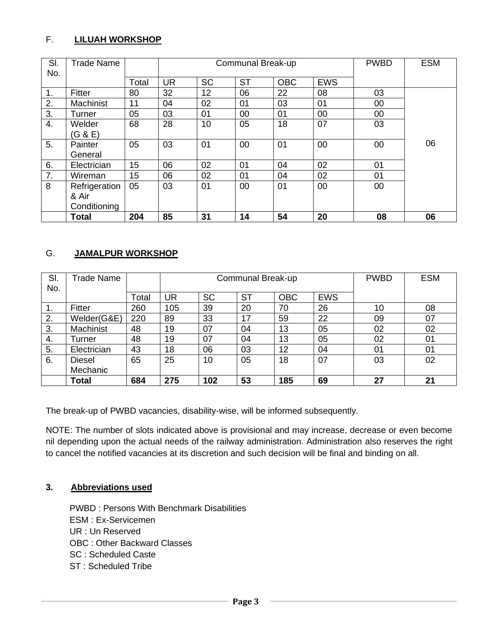## F. **LILUAH WORKSHOP**

| SI.              | <b>Trade Name</b> |       |           |           | Communal Break-up |            |            | <b>PWBD</b> | <b>ESM</b> |
|------------------|-------------------|-------|-----------|-----------|-------------------|------------|------------|-------------|------------|
| No.              |                   |       |           |           |                   |            |            |             |            |
|                  |                   | Total | <b>UR</b> | <b>SC</b> | <b>ST</b>         | <b>OBC</b> | <b>EWS</b> |             |            |
| $\mathbf 1$ .    | Fitter            | 80    | 32        | 12        | 06                | 22         | 08         | 03          |            |
| 2.               | Machinist         | 11    | 04        | 02        | 01                | 03         | 01         | 00          |            |
| 3.               | Turner            | 05    | 03        | 01        | 00                | 01         | 00         | 00          |            |
| $\overline{4}$ . | Welder            | 68    | 28        | 10        | 05                | 18         | 07         | 03          |            |
|                  | (G & E)           |       |           |           |                   |            |            |             |            |
| 5.               | Painter           | 05    | 03        | 01        | 00                | 01         | 00         | 00          | 06         |
|                  | General           |       |           |           |                   |            |            |             |            |
| 6.               | Electrician       | 15    | 06        | 02        | 01                | 04         | 02         | 01          |            |
| 7.               | Wireman           | 15    | 06        | 02        | 01                | 04         | 02         | 01          |            |
| 8                | Refrigeration     | 05    | 03        | 01        | 00                | 01         | 00         | 00          |            |
|                  | & Air             |       |           |           |                   |            |            |             |            |
|                  | Conditioning      |       |           |           |                   |            |            |             |            |
|                  | <b>Total</b>      | 204   | 85        | 31        | 14                | 54         | 20         | 08          | 06         |

## G. **JAMALPUR WORKSHOP**

| SI. | Trade Name    |       |     |           | Communal Break-up |            | <b>PWBD</b> | <b>ESM</b> |    |
|-----|---------------|-------|-----|-----------|-------------------|------------|-------------|------------|----|
| No. |               |       |     | <b>SC</b> | <b>ST</b>         | <b>OBC</b> | <b>EWS</b>  |            |    |
|     |               | Total | UR  |           |                   |            |             |            |    |
| 1.  | Fitter        | 260   | 105 | 39        | 20                | 70         | 26          | 10         | 08 |
| 2.  | Welder(G&E)   | 220   | 89  | 33        | 17                | 59         | 22          | 09         | 07 |
| 3.  | Machinist     | 48    | 19  | 07        | 04                | 13         | 05          | 02         | 02 |
| 4.  | Turner        | 48    | 19  | 07        | 04                | 13         | 05          | 02         | 01 |
| 5.  | Electrician   | 43    | 18  | 06        | 03                | 12         | 04          | 01         | 01 |
| 6.  | <b>Diesel</b> | 65    | 25  | 10        | 05                | 18         | 07          | 03         | 02 |
|     | Mechanic      |       |     |           |                   |            |             |            |    |
|     | <b>Total</b>  | 684   | 275 | 102       | 53                | 185        | 69          | 27         | 21 |

The break-up of PWBD vacancies, disability-wise, will be informed subsequently.

NOTE: The number of slots indicated above is provisional and may increase, decrease or even become nil depending upon the actual needs of the railway administration. Administration also reserves the right to cancel the notified vacancies at its discretion and such decision will be final and binding on all.

# **3. Abbreviations used**

PWBD : Persons With Benchmark Disabilities ESM : Ex-Servicemen UR : Un Reserved OBC : Other Backward Classes SC : Scheduled Caste ST : Scheduled Tribe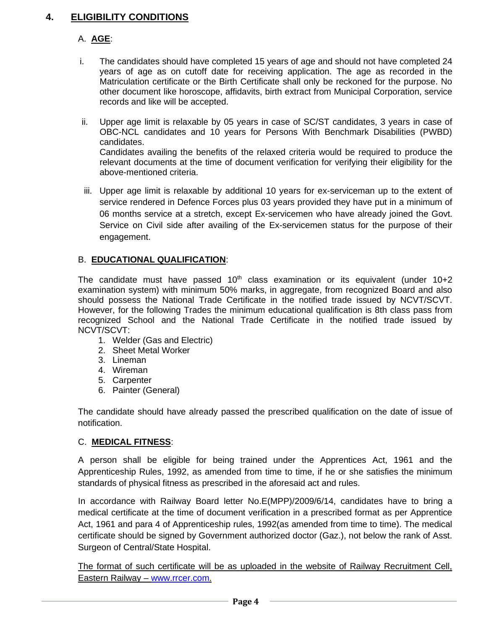# **4. ELIGIBILITY CONDITIONS**

# A. **AGE**:

- i. The candidates should have completed 15 years of age and should not have completed 24 years of age as on cutoff date for receiving application. The age as recorded in the Matriculation certificate or the Birth Certificate shall only be reckoned for the purpose. No other document like horoscope, affidavits, birth extract from Municipal Corporation, service records and like will be accepted.
- ii. Upper age limit is relaxable by 05 years in case of SC/ST candidates, 3 years in case of OBC-NCL candidates and 10 years for Persons With Benchmark Disabilities (PWBD) candidates. Candidates availing the benefits of the relaxed criteria would be required to produce the relevant documents at the time of document verification for verifying their eligibility for the above-mentioned criteria.
- iii. Upper age limit is relaxable by additional 10 years for ex-serviceman up to the extent of service rendered in Defence Forces plus 03 years provided they have put in a minimum of 06 months service at a stretch, except Ex-servicemen who have already joined the Govt. Service on Civil side after availing of the Ex-servicemen status for the purpose of their engagement.

# B. **EDUCATIONAL QUALIFICATION**:

The candidate must have passed  $10<sup>th</sup>$  class examination or its equivalent (under  $10+2$ examination system) with minimum 50% marks, in aggregate, from recognized Board and also should possess the National Trade Certificate in the notified trade issued by NCVT/SCVT. However, for the following Trades the minimum educational qualification is 8th class pass from recognized School and the National Trade Certificate in the notified trade issued by NCVT/SCVT:

- 1. Welder (Gas and Electric)
- 2. Sheet Metal Worker
- 3. Lineman
- 4. Wireman
- 5. Carpenter
- 6. Painter (General)

The candidate should have already passed the prescribed qualification on the date of issue of notification.

## C. **MEDICAL FITNESS**:

A person shall be eligible for being trained under the Apprentices Act, 1961 and the Apprenticeship Rules, 1992, as amended from time to time, if he or she satisfies the minimum standards of physical fitness as prescribed in the aforesaid act and rules.

In accordance with Railway Board letter No.E(MPP)/2009/6/14, candidates have to bring a medical certificate at the time of document verification in a prescribed format as per Apprentice Act, 1961 and para 4 of Apprenticeship rules, 1992(as amended from time to time). The medical certificate should be signed by Government authorized doctor (Gaz.), not below the rank of Asst. Surgeon of Central/State Hospital.

The format of such certificate will be as uploaded in the website of Railway Recruitment Cell, Eastern Railway – [www.rrcer.com.](http://www.rrcer.com/)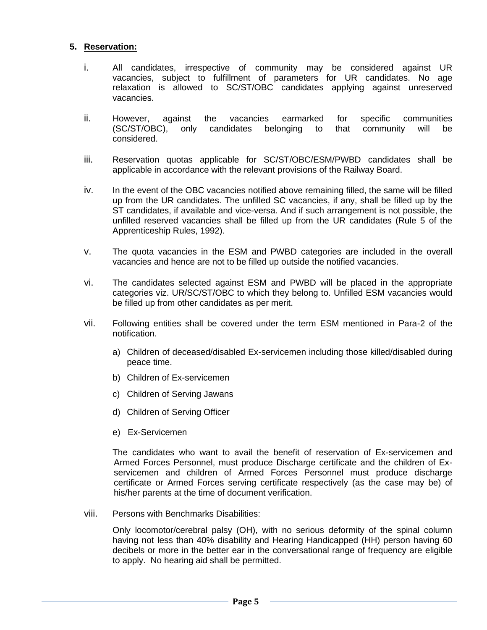#### **5. Reservation:**

- i. All candidates, irrespective of community may be considered against UR vacancies, subject to fulfillment of parameters for UR candidates. No age relaxation is allowed to SC/ST/OBC candidates applying against unreserved vacancies.
- ii. However, against the vacancies earmarked for specific communities (SC/ST/OBC), only candidates belonging to that community will be considered.
- iii. Reservation quotas applicable for SC/ST/OBC/ESM/PWBD candidates shall be applicable in accordance with the relevant provisions of the Railway Board.
- iv. In the event of the OBC vacancies notified above remaining filled, the same will be filled up from the UR candidates. The unfilled SC vacancies, if any, shall be filled up by the ST candidates, if available and vice-versa. And if such arrangement is not possible, the unfilled reserved vacancies shall be filled up from the UR candidates (Rule 5 of the Apprenticeship Rules, 1992).
- v. The quota vacancies in the ESM and PWBD categories are included in the overall vacancies and hence are not to be filled up outside the notified vacancies.
- vi. The candidates selected against ESM and PWBD will be placed in the appropriate categories viz. UR/SC/ST/OBC to which they belong to. Unfilled ESM vacancies would be filled up from other candidates as per merit.
- vii. Following entities shall be covered under the term ESM mentioned in Para-2 of the notification.
	- a) Children of deceased/disabled Ex-servicemen including those killed/disabled during peace time.
	- b) Children of Ex-servicemen
	- c) Children of Serving Jawans
	- d) Children of Serving Officer
	- e) Ex-Servicemen

The candidates who want to avail the benefit of reservation of Ex-servicemen and Armed Forces Personnel, must produce Discharge certificate and the children of Exservicemen and children of Armed Forces Personnel must produce discharge certificate or Armed Forces serving certificate respectively (as the case may be) of his/her parents at the time of document verification.

viii. Persons with Benchmarks Disabilities:

Only locomotor/cerebral palsy (OH), with no serious deformity of the spinal column having not less than 40% disability and Hearing Handicapped (HH) person having 60 decibels or more in the better ear in the conversational range of frequency are eligible to apply. No hearing aid shall be permitted.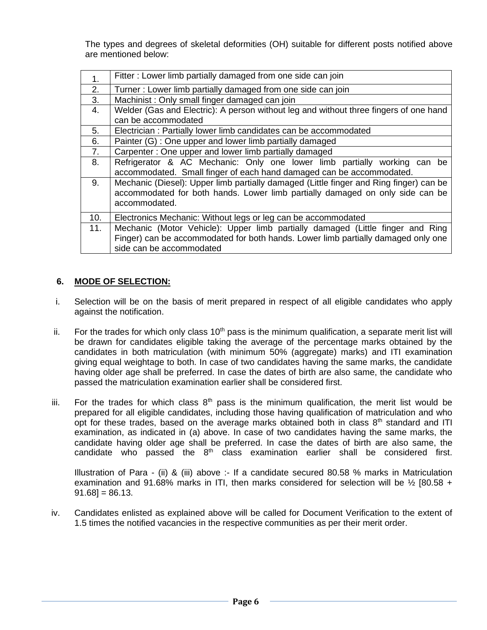The types and degrees of skeletal deformities (OH) suitable for different posts notified above are mentioned below:

| 1 <sub>1</sub> | Fitter: Lower limb partially damaged from one side can join                            |
|----------------|----------------------------------------------------------------------------------------|
| 2.             | Turner: Lower limb partially damaged from one side can join                            |
| 3.             | Machinist: Only small finger damaged can join                                          |
| 4.             | Welder (Gas and Electric): A person without leg and without three fingers of one hand  |
|                | can be accommodated                                                                    |
| 5.             | Electrician: Partially lower limb candidates can be accommodated                       |
| 6.             | Painter (G) : One upper and lower limb partially damaged                               |
| 7.             | Carpenter: One upper and lower limb partially damaged                                  |
| 8.             | Refrigerator & AC Mechanic: Only one lower limb partially working can be               |
|                | accommodated. Small finger of each hand damaged can be accommodated.                   |
| 9.             | Mechanic (Diesel): Upper limb partially damaged (Little finger and Ring finger) can be |
|                | accommodated for both hands. Lower limb partially damaged on only side can be          |
|                | accommodated.                                                                          |
| 10.            | Electronics Mechanic: Without legs or leg can be accommodated                          |
| 11.            | Mechanic (Motor Vehicle): Upper limb partially damaged (Little finger and Ring         |
|                | Finger) can be accommodated for both hands. Lower limb partially damaged only one      |
|                | side can be accommodated                                                               |

### **6. MODE OF SELECTION:**

- i. Selection will be on the basis of merit prepared in respect of all eligible candidates who apply against the notification.
- ii. For the trades for which only class  $10<sup>th</sup>$  pass is the minimum qualification, a separate merit list will be drawn for candidates eligible taking the average of the percentage marks obtained by the candidates in both matriculation (with minimum 50% (aggregate) marks) and ITI examination giving equal weightage to both. In case of two candidates having the same marks, the candidate having older age shall be preferred. In case the dates of birth are also same, the candidate who passed the matriculation examination earlier shall be considered first.
- iii. For the trades for which class  $8<sup>th</sup>$  pass is the minimum qualification, the merit list would be prepared for all eligible candidates, including those having qualification of matriculation and who opt for these trades, based on the average marks obtained both in class  $8<sup>th</sup>$  standard and ITI examination, as indicated in (a) above. In case of two candidates having the same marks, the candidate having older age shall be preferred. In case the dates of birth are also same, the candidate who passed the  $8<sup>th</sup>$  class examination earlier shall be considered first.

Illustration of Para - (ii) & (iii) above :- If a candidate secured 80.58 % marks in Matriculation examination and 91.68% marks in ITI, then marks considered for selection will be  $\frac{1}{2}$  [80.58 +  $91.68$ ] = 86.13.

iv. Candidates enlisted as explained above will be called for Document Verification to the extent of 1.5 times the notified vacancies in the respective communities as per their merit order.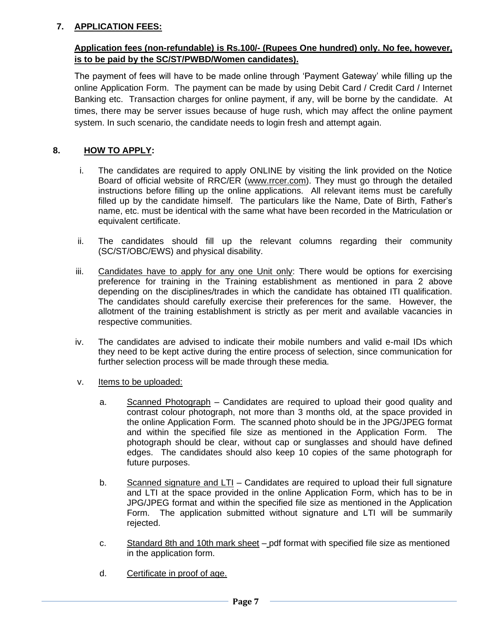# **7. APPLICATION FEES:**

# **Application fees (non-refundable) is Rs.100/- (Rupees One hundred) only. No fee, however, is to be paid by the SC/ST/PWBD/Women candidates).**

The payment of fees will have to be made online through 'Payment Gateway' while filling up the online Application Form. The payment can be made by using Debit Card / Credit Card / Internet Banking etc. Transaction charges for online payment, if any, will be borne by the candidate. At times, there may be server issues because of huge rush, which may affect the online payment system. In such scenario, the candidate needs to login fresh and attempt again.

# **8. HOW TO APPLY:**

- i. The candidates are required to apply ONLINE by visiting the link provided on the Notice Board of official website of RRC/ER [\(www.rrcer.com\)](http://www.rrcer.com/). They must go through the detailed instructions before filling up the online applications. All relevant items must be carefully filled up by the candidate himself. The particulars like the Name, Date of Birth, Father's name, etc. must be identical with the same what have been recorded in the Matriculation or equivalent certificate.
- ii. The candidates should fill up the relevant columns regarding their community (SC/ST/OBC/EWS) and physical disability.
- iii. Candidates have to apply for any one Unit only: There would be options for exercising preference for training in the Training establishment as mentioned in para 2 above depending on the disciplines/trades in which the candidate has obtained ITI qualification. The candidates should carefully exercise their preferences for the same. However, the allotment of the training establishment is strictly as per merit and available vacancies in respective communities.
- iv. The candidates are advised to indicate their mobile numbers and valid e-mail IDs which they need to be kept active during the entire process of selection, since communication for further selection process will be made through these media.
- v. Items to be uploaded:
	- a. Scanned Photograph Candidates are required to upload their good quality and contrast colour photograph, not more than 3 months old, at the space provided in the online Application Form. The scanned photo should be in the JPG/JPEG format and within the specified file size as mentioned in the Application Form. The photograph should be clear, without cap or sunglasses and should have defined edges. The candidates should also keep 10 copies of the same photograph for future purposes.
	- b. Scanned signature and LTI Candidates are required to upload their full signature and LTI at the space provided in the online Application Form, which has to be in JPG/JPEG format and within the specified file size as mentioned in the Application Form. The application submitted without signature and LTI will be summarily rejected.
	- c. Standard 8th and 10th mark sheet pdf format with specified file size as mentioned in the application form.
	- d. Certificate in proof of age.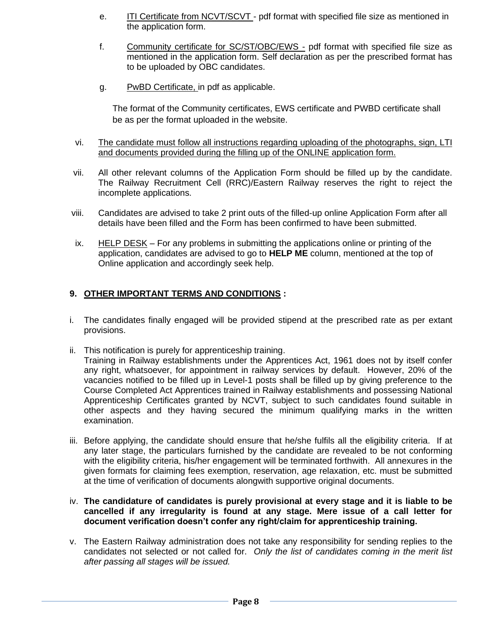- e. **ITI Certificate from NCVT/SCVT** pdf format with specified file size as mentioned in the application form.
- f. Community certificate for SC/ST/OBC/EWS pdf format with specified file size as mentioned in the application form. Self declaration as per the prescribed format has to be uploaded by OBC candidates.
- g. PwBD Certificate, in pdf as applicable.

The format of the Community certificates, EWS certificate and PWBD certificate shall be as per the format uploaded in the website.

- vi. The candidate must follow all instructions regarding uploading of the photographs, sign, LTI and documents provided during the filling up of the ONLINE application form.
- vii. All other relevant columns of the Application Form should be filled up by the candidate. The Railway Recruitment Cell (RRC)/Eastern Railway reserves the right to reject the incomplete applications.
- viii. Candidates are advised to take 2 print outs of the filled-up online Application Form after all details have been filled and the Form has been confirmed to have been submitted.
- ix. HELP DESK For any problems in submitting the applications online or printing of the application, candidates are advised to go to **HELP ME** column, mentioned at the top of Online application and accordingly seek help.

## **9. OTHER IMPORTANT TERMS AND CONDITIONS :**

- i. The candidates finally engaged will be provided stipend at the prescribed rate as per extant provisions.
- ii. This notification is purely for apprenticeship training.

Training in Railway establishments under the Apprentices Act, 1961 does not by itself confer any right, whatsoever, for appointment in railway services by default. However, 20% of the vacancies notified to be filled up in Level-1 posts shall be filled up by giving preference to the Course Completed Act Apprentices trained in Railway establishments and possessing National Apprenticeship Certificates granted by NCVT, subject to such candidates found suitable in other aspects and they having secured the minimum qualifying marks in the written examination.

iii. Before applying, the candidate should ensure that he/she fulfils all the eligibility criteria. If at any later stage, the particulars furnished by the candidate are revealed to be not conforming with the eligibility criteria, his/her engagement will be terminated forthwith. All annexures in the given formats for claiming fees exemption, reservation, age relaxation, etc. must be submitted at the time of verification of documents alongwith supportive original documents.

### iv. **The candidature of candidates is purely provisional at every stage and it is liable to be cancelled if any irregularity is found at any stage. Mere issue of a call letter for document verification doesn't confer any right/claim for apprenticeship training.**

v. The Eastern Railway administration does not take any responsibility for sending replies to the candidates not selected or not called for. *Only the list of candidates coming in the merit list after passing all stages will be issued.*